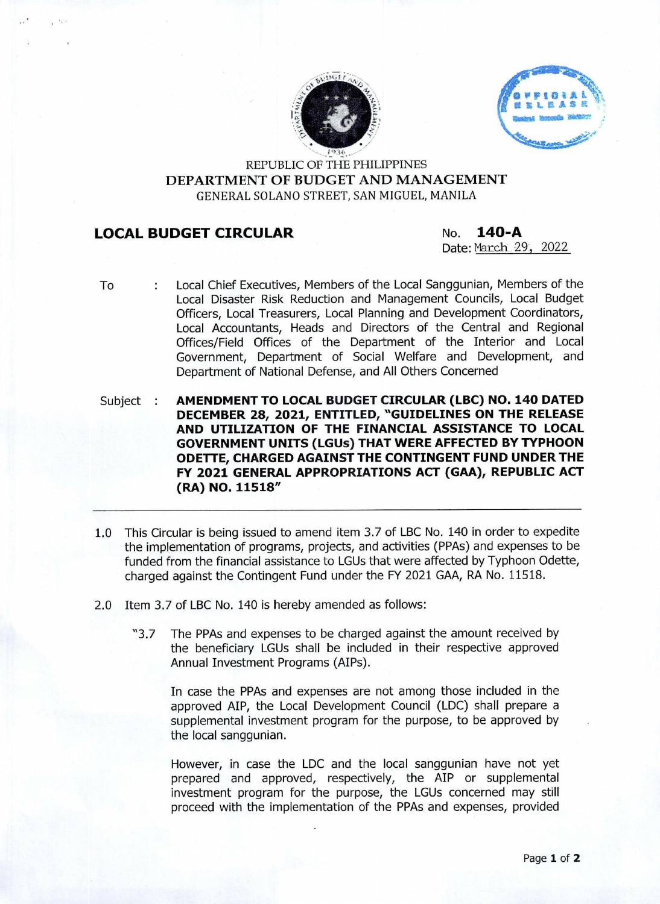



REPUBLIC OF THE PHILIPPINES **DEPARTMENT OF BUDGET AND MANAGEMENT** GENERAL SOLANO STREET, SAN MIGUEL, MANILA

## **LOCAL BUDGET CIRCULAR No. 140-A**

Date: March 29, 2022

To ť. Local Chief Executives, Members of the Local Sanggunian, Members of the Local Disaster Risk Reduction and Management Councils, Local Budget Officers, Local Treasurers, Local Planning and Development Coordinators, Local Accountants, Heads and Directors of the Central and Regional Offices/Field Offices of the Department of the Interior and Local Government, Department of Social Welfare and Development, and Department of National Defense, and All Others Concerned

Subject : **AMENDMENT TO LOCAL BUDGET CIRCULAR (LBC) NO. 140 DATED DECEMBER 28, 2021, ENTITLED, "GUIDELINES ON THE RELEASE AND UTILIZATION OF THE FINANCIAL ASSISTANCE TO LOCAL GOVERNMENT UNITS (LGUs) THAT WERE AFFECTED BY TYPHOON ODETTE, CHARGED AGAINST THE CONTINGENT FUND UNDER THE FY 2021 GENERAL APPROPRIATIONS ACT (GAA), REPUBLIC ACT (RA) NO. 11518"**

- 1.0 This Circular is being issued to amend item 3.7 of LBC No. 140 in order to expedite the implementation of programs, projects, and activities (PPAs) and expenses to be funded from the financial assistance to LGUs that were affected by Typhoon Odette, charged against the Contingent Fund under the FY 2021 GAA, RA No. 11518.
- 2.0 Item 3.7 of LBC No. 140 is hereby amended as follows:
	- "3.7 The PPAs and expenses to be charged against the amount received by the beneficiary LGUs shall be included in their respective approved Annual Investment Programs (AIPs).

In case the PPAs and expenses are not among those included in the approved AIP, the Local Development Council (LDC) shall prepare a supplemental investment program for the purpose, to be approved by the local sanggunian.

However, in case the LDC and the local sanggunian have not yet prepared and approved, respectively, the AIP or supplemental investment program for the purpose, the LGUs concerned may still proceed with the implementation of the PPAs and expenses, provided